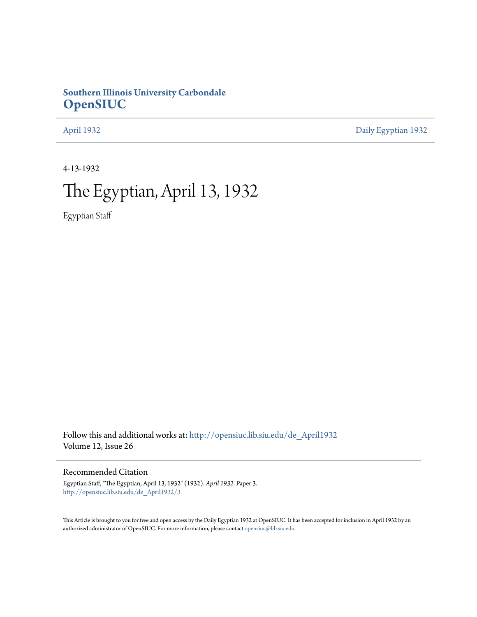# **Southern Illinois University Carbondale [OpenSIUC](http://opensiuc.lib.siu.edu?utm_source=opensiuc.lib.siu.edu%2Fde_April1932%2F3&utm_medium=PDF&utm_campaign=PDFCoverPages)**

[April 1932](http://opensiuc.lib.siu.edu/de_April1932?utm_source=opensiuc.lib.siu.edu%2Fde_April1932%2F3&utm_medium=PDF&utm_campaign=PDFCoverPages) [Daily Egyptian 1932](http://opensiuc.lib.siu.edu/de_1932?utm_source=opensiuc.lib.siu.edu%2Fde_April1932%2F3&utm_medium=PDF&utm_campaign=PDFCoverPages)

4-13-1932

# The Egyptian, April 13, 1932

Egyptian Staff

Follow this and additional works at: [http://opensiuc.lib.siu.edu/de\\_April1932](http://opensiuc.lib.siu.edu/de_April1932?utm_source=opensiuc.lib.siu.edu%2Fde_April1932%2F3&utm_medium=PDF&utm_campaign=PDFCoverPages) Volume 12, Issue 26

### Recommended Citation

Egyptian Staff, "The Egyptian, April 13, 1932" (1932). *April 1932.* Paper 3. [http://opensiuc.lib.siu.edu/de\\_April1932/3](http://opensiuc.lib.siu.edu/de_April1932/3?utm_source=opensiuc.lib.siu.edu%2Fde_April1932%2F3&utm_medium=PDF&utm_campaign=PDFCoverPages)

This Article is brought to you for free and open access by the Daily Egyptian 1932 at OpenSIUC. It has been accepted for inclusion in April 1932 by an authorized administrator of OpenSIUC. For more information, please contact [opensiuc@lib.siu.edu](mailto:opensiuc@lib.siu.edu).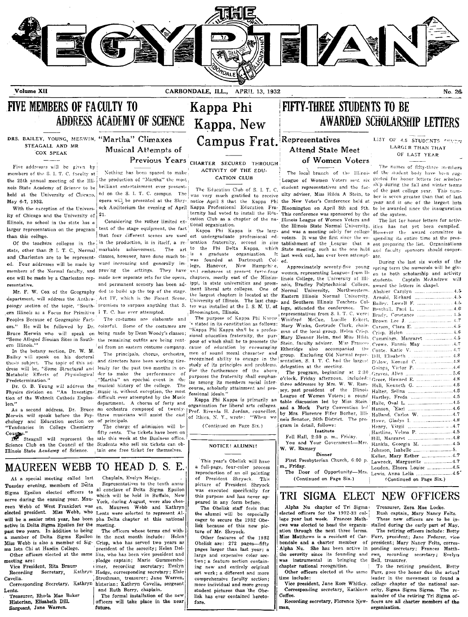

Volume XII

CARBONDALE, ILL., APRIL 13, 1932

Kappa Phi

### No. 26

LIST OF 4.5 STUDENTS SEVEN

**LARGER THAN THAT** 

OF LAST YEAR

The names of fifty-three members

The list for honor letters for activ-

During the last six weeks of the

Captain McAndrew will

 $4.5$ 

 $\overline{4}$  6

 $\overline{AB}$ 

 $4.6$ 

 $4.5$ 

 $\overline{AB}$ 

 $\overline{4}$ 

 $4.5$ 

 $4.8$ 

# FIVE MEMBERS OF FACULTY TO ADDRESS ACADEMY OF SCIENCE Kappa, New

#### DRS. BAILEY, YOUNG, MERWIN, "Martha" Climaxes STEAGALL AND MR COX SPEAK

Five addresses will be given by members of the S. I. T. C. faculty at the 25th annual meeting of the Illinois State Academy of Science to be held at the University of Chicago, May 6-7, 1932.

With the exception of the University of Chicago and the University of Illinois, no school in the state has a larger representation on the program than this college.

Of the teachers colleges in the resentative

pology section of the topic, "South- promises to surpass anything that S. ern Illinois as a Focus for Primitive I T. C. has ever attempted. Peoples Because of Geographic Factors." He will be followed by Dr. colorful. Some of the costumes are Bruce Merwin who will speak on being made by Dean Woody's classes; "Some Alleged Siouian Sites in South- the remaining outfits are being rentern Illinois."

In the botany section, Dr. W. M. Bailey will speak on his doctoral thesis subject. The topic of this address will be, "Some Structural and Metabolic Effects of Physiological<br>Predetermination."

Dr. O. B. Young will address the Physics division on "An Investiga- music is, without exception, the most tion of the Wehnelt Cathods Explos- difficult ever attempted by the Music  $tan<sup>2</sup>$ 

As a second address, Dr. Bruce Merwin will speak before the Psy- three musicians will assist the cast chology and Education section on of principals. "Tendencies in College Chemistry

Science Club on the Council of the Students who sell six tickets can ob-Illinois State Academy of Science. tain one free ticket for themselves.

**Musical Attempts of** Previous Years CHARTER SECURED THROUGH Nothing has been spared to make

the production of "Martha" the most brilliant entertainment ever presented on the S. I. T. C. campus. The  $21.$ 

Considering the rather limited ex- $\frac{1}{2}$  tent of the stage equipment, the fact  $\frac{1}{2}$  ional organization. that four different scenes are used in the production, is in itself, a re-ucation fraternity, second in size state, other than S. I. T. C., Normal markable achievement. The art and Charleston are to be represent- classes, however, have done much toed. Four addresses will be made by ward increasing and generally immembers of the Normal faculty, and proving the settings. They have one will be made by a Charleston rep- made new separate sets for the opera, and permanent scenery has been ad-Mr. F. W. Cox of the Geography ded to build up the top of the stage. department, will address the Anthro- Act IV, which is the Forest Scene,

> The costumes are elaborate and ed from an eastern costume company.

The principals, chorus, orchestra, and directors have been working tirelessly for the past two months in order to make the performance of "Martha" an epochal event in the musical history of the college. The department. A chorus of forty and an orchestra composed of twenty-

The charge of admission will be Course."<br>
The contrast of the sale this week at the Business."<br>
The Steagall will represent the sale this week at the Business office. fifty cents. The tickets have been on

### ACTIVITY OF THE FDIL CATION CLUB

The Education Club of S. I. T. C. ternity had voted to install the Edu-

est undergraduate professional ed $t_{0}$ is  $\mathbf{a}$ graduate organization. founded at Dartmouth Col- ed. was lege, Hanover, New Hampshire, and embraces at present forty-four chapters, mostly east of the Mississippi, in state universities and prominent liberal arts colleges. One of the largest chapters is located at the University of Illinois. The last chap-Bloomington, Illinois.

The purpose of Kappa Phi Karpa stated in its constitution as follows: "Kappa Phi Kappa shall be a professional education fraternity, the purpose of which shall be to promote the cause of education by encouraging men of sound moral character and recognized ability to engage in the study of its principles and problems For the furtherance of the above purposes the fraternity shall emphasize among its members social intercourse, scholarly attainment and pro-<br>fessional ideals."

Kappa Phi Kappa is primarily an organization for liberal arts colleges. Prof. Riverda H. Jordan, councillor,<br>of Ithica, N. Y., wrote: "When we

(Continued on Page Six.)

NOTICE! ALUMNI!

# FIFTY-THREE STUDENTS TO BE **AWARDED SCHOLARSHIP LETTERS**

### Campus Frat. Representatives **Attend State Meet** of Women Voters

The local branch of the Illinois of the student body have been sug-League of Women Voters sent six gested for honor letters for scholarstudent representatives and the fac-ship during the fall and winter terms of the past college year. This numwas very much gratified to receive ulty adviser, Miss Hilda A Stein, to ber is seven greater than that of last opera will be presented at the Shry- notice April 8 that the Kappa Phi the New Voter's Conference held at year and is one of the largest lists ock Auditorium the evening of April Kappa Professional Education Fra-Bloomington on April 8th and 9th. to be awarded since the inauguration This conference was sponsored by the of the system. cation Club as a chapter of the na- Illinois League of Women Voters and voters. It was the first since the establishment of the League that a the Fhi Delta Kappa, which State meeting, such as the one held It last week end, has ever been attempt-

> Approximately seventy-five young women, representing Leagues from Illinois College, the University of Illinois. Bradley Polytechnical College. Normal University, Northwestern. Bailey, Lowell F. ........... ............ 4.5 Brady, Constance Brown Lee J. Carson, Clara E.  $Crisp$ ,  $Helen$ Cummings, Margaret Conte. Katie V. ...... Dill. Elisabeth D'ilow, Konrad C. delegation at the meeting. Goings, Victor P.

The program, beginning at 2:30 three addresses by Mrs. W. W. Ramsey, past president of the Illinois League of Women Voters: a round table discussion led by Miss Stein. and a Mock Party Convention led by Mrs. Florence Fifer Borher, Illinois Senator, 26th District. The program in detail, follows:

Institute

Fell Hall, 2:30 p. m., Friday.<br>You and Your Government-Mrs.  $W.$  W. Ramsey Dinner

### First Presbyterian Church, 6:00 p.

m. Friday. The Door of Opportunity-Mrs.

Lewis, Anna Lelia ... (Continued on Page Six.)

# TRI SIGMA ELECT NEW OFFICERS

Alpha Nu chapter of Tri Sigma elected officers for the 1932-33 college year last week. Frances Mathews was elected to head the organization through the next three terms. Miss Matthews is a resident of Carbondale and a charter member of Alpha Nu. She has been active in the sorority since its founding and was instrumental in bringing the Bell, treasurer. chapter national recognition. Other officers elected at the same

time include:

Vice president, Jane Rose Whitley. Corresponding secretary, Kathleen Coffee.

Recording secretary, Florence New- $<sub>man</sub>$ </sub>

Treasurer, Zora Mae Locke Rush captain, Mary Nancy Felts. These new officers are to be in-

Keller, Mary Esther ...................... 4.7

Loudon, Elnora Louise .................. 4.5

(Continued on Page Six.)

Hankla, Georgia M. ............

Johnson, Isabelle ..................

Lawreck, Marguerite ............

stalled during the early part of May. The retiring officers include: Betty Furr, president; Jane Federer, vicepresident; Mary Nancy Felts, corresponding secretary; Frances Matthews. recording secretary; Evelyn

To the retiring president, Betty Furr, goes the honor due the actual leader in the movement to found a college chapter of the national sorority, Sigma Sigma Sigma. The remainder of the retiring Tri Sigma officers are all charter members of the organization.

# MAUREEN WEBB TO HEAD D. S. E.

At a special meeting called last Tuesday evening, members of Delta Sigma Epsilon elected officers to serve during the ensuing year. Maureen Webb of West Frankfort was en. active in Delta Sigma Epsilon for the meeting. past two years. In addition to being Miss Webb is also a member of Sigma Iota Chi at Hardin College.

meeting are: Vice President, Rita Braum

Cavelia.

Lentz.

Treasurer, Rhoda Mae Baker Historian, Elisabeth Dill. Sargeant, Jane Warren.

Chaplain, Evelyn Hodge, Representatives to the tenth annual conclave of Delta Sigma Epsilon which will be held in Buffalo, New York, during August, were also chos-Maureen Webb and Kathryn elected president. Miss Webb, who Lentz were selected to represent Alwill be a senior next year, has been pha Delta chapter at this national

The officers whose terms end witha member of Delta Sigma Epsilon in the next month include: Helen Crisp, who has served two years as president of the sorority; Helen Dol-Other officers elected at the same lins, who has been vice president and pledge captain; Marie Gummershetimer, recording secretary; Evelyn Recording Secretary, Kathryn Hodge, corresponding secretary; Elsie Strothman, treasurer; Jane Warren, Corresponding Secretary, Kathryn historian; Kathryn Cavelia, sergeant and Ruth Berry, chaplain.

The formal installation of the new officers will take place in the near future.

This year's Obelisk will have a full-page, four-color process reproduction of an oil painting of President Shryock. This picture of President Shryock was executed specifically for this nurpose and has never appeared in any form before

The Obelisk staff feels that the alumni will be especially eager to secure the 1932 Obelisk because of this new picture of Mr. Shryock.

Other features of the 1932 Obelisk are: 272 pages-fifty pages larger than last year; a large and expensive color section; a feature section containing new and entirely original art work; a different and more comprehensive faculty section; more individual and more group student pictures than the Obelisk has ever contained heretofore.

the Illinois State Normal University, ities has not yet been compiled. Kappa Phi Kappa is the larg- and was a meeting solely for college However the award committee is spending its entire time at the present preparing the list. Organizations and faculty sponsors should cooner- $210$ spring term the numerals will be given to both scholarship and activity students. award the letters in chapel. Abshier Carolyn ................... 

Eastern Illinois Normal University, and Southern Illinois Teachers Colter was installed at the I. S. N. U. at lege, attended the conference. The representatives from S. I. T. C. were: Winifred McCue, Lucille Eckert, Mary Winks, Gertrude Clark, chairman of the local group, Helen Crisp. Mary Eleanor Helm, and Miss Hilda Stein, faculty adviser. Miss Frances Etheridge also accompanied the group. Excluding Old Normal representation. S. I. T. C. had the largest

Graves, Allen o'clock, Friday afternoon, included: Greer, Howard E. Halter, Selina ........................ Hartley, Freda Hanson, Earl Howe, Gladys I. ...... Henry, Virgil Hartline, Velma P. ............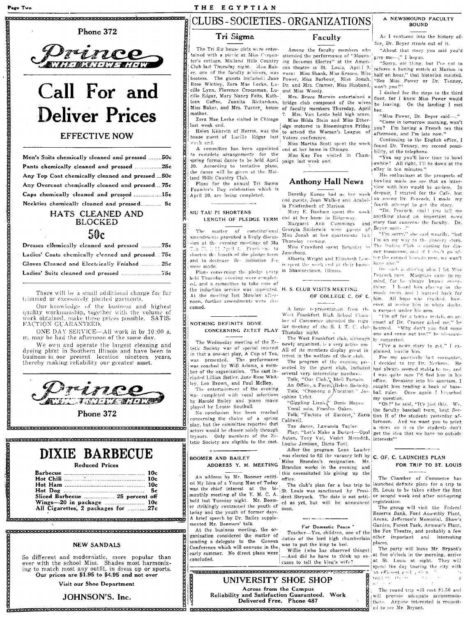### 

#### Phone 372



# Call For and **Deliver Prices**

### **EFFECTIVE NOW**

Men's Suits chemically cleaned and pressed .......50c Pants chemically cleaned and pressed ................25c Any Top Coat chemically cleaned and pressed....50c Any Overcoat chemically cleaned and pressed.... 75c Caps chemically cleaned and pressed ................15c Neckties chemically cleaned and pressed............ 5c

## HATS CLEANED AND **BLOCKED**

### 50c

Dresses chemically cleaned and pressed ...........75c Ladies' Coats chemically cleaned and pressed.... 75c Gloves Cleaned and Electrically Fnished .......... 25c 

There will be a small additional charge for fur trimmed or excessively pleated garments.

Our knowledge of the business and highest quality workmanship, together with the volume of work obtained, make these prices possible. SATIS-FACTION GUARANTEED.

ONE DAY SERVICE-All work in by 10:00 a. m. may be had the afternoon of the same day.

We own and operate the largest cleaning and dyeing plant in Southern Illinois and have been in<br>business in our present location nineteen years, thereby making reliability our greatest asset.



Phone 372 ..<br>RECORDED DE RECORDERE DE L'ANCIONALISTA DE L'ANCIONALISTA DE L'ANCIONALISTA DE L'ANCIONALISTA DE L'ANCIONALIST

### DIXIE BARBECUE ووالمرافي فالمستقيمة

| $A = 11C = 11C = 11C$ |  |
|-----------------------|--|
|                       |  |
|                       |  |
|                       |  |

 $10<sub>c</sub>$ 

| Sliced Barbecue  25 percent off     |  |
|-------------------------------------|--|
|                                     |  |
| All Cigarettes, 2 packages for  27c |  |
|                                     |  |

<u> KATERATA KATERATA PERDETA TERRETA BERTA BERTA ERA ERA BERTA ERA PERTETA ERA ERA ERA ERA</u>

### <u> ATLEBURGER BLEV ERKERT ERKEBURGER BLEV ERKERT ER BLEV BLEV ERKERT ERKERT ERKERT ERKERT ERKERT ERKERT ERKERT</u> **NEW SANDALS**

So different and modernistic, more popular than<br>ever with the school Miss. Shades most harmoniz-<br>ing to match most any outfit, in dress up or sports.<br>Our prices are \$1.95 to \$4.95 and not over

Visit our Shoe Department

### JOHNSON'S. Inc.

### THE EGYPTIAN

# CLUBS - SOCIETIES - ORGANIZATIONS

### Tri Sigma

### The Tri Sig house girls were enterer, one of the faculty advisers, was hostess. The guests included: Jane Rose Whitley, Zora Mae Locke, Lucille Lynn, Florence Croessman, Lu- and Miss Woody. cille Edgar, Mary Nancy Felts, Kathleen Coffee, Juanita Richardson, bridge club composed of the wives

Zora Mae Locke visited in Chicago last week end.

Helen Kiibreth of Herrin, was the house guest of Lucille Edgar last Voters conference. week end.

complete arrangements for the spring formal dance to be held April paign last week end. 30. According to tentative plans, the dance will be given at the Midland Hills Country Club.

Plans for the annual Tri Sigma Founder's Day celebration which is April 20, are being completed.

# MU TAU PI SHORTENS

of constitutional. The matter amendments provoked a lively discussion at the evening meetings of Mu shorten the length of the pledge term and to decrease the initiation fee were made.

Plans concerning the pledge unity hold Thursday evening were completed, and a committee to take care of the induction service was appointed. H. S. CLUB VISITS MEETING At the meeting last Monday afternoon, further amendments were discussed.

#### NOTHING DEFINITE DONE CONCERNING ZETET PLAY

The Wednesday meeting of the Zetetic Society was of special interest All of its members display great inin that a one-act play, A Cup of Tea, terest in the welfare of their club. was presented. The performance was presented. The performance<br>was coached by Will Adams, a member of the organization. The cast included Lillian Sistler, Jane Rose Whitley, Leo Brown, and Paul McRoy.

The entertainment of the evening was completed with vocal selections by Harold Bailey and piano music played by Louise Southall.

No conclusion has been reached concerning the choice of a spring play, but the committee reported that actors would be chosen solely through tryouts. Only members of the Zetetic Society are eligible to the cast.

# **BOOMER AND BAILEY**

An address by Mr. Boomer entitled My Idea of a Young Man of Today<br>was the chief interest at the bimonthly meeting of the Y. M. C. A. held last Tuesday night. Mr. Boomexample of the state of the state of the state of the state of the state of the state of the state of the state of the state of the state of the state of the state of the state of the state of the state of the state of the today and the youth of former days. A brief speech by Dr. Bailey supplemented Mr. Boomers' talk.

At the business meeting, the organization considered the matter of sending a delegate to the Geneva Conference which will convene in the early summer. No direct plans were concluded.

**THEFT REPORT FOR** 

### Among the faculty members who tained with a picnic at Miss Carpen- attended the performance of "Mournter's cottage, Midland Hills Country ing Becomes Electra" at the Ameri-Club last Thursday night. Sliss Bak- can theatre in St. Louis, April 9, were: Miss Shank, Miss Krause, Miss Power, Miss Barbour, Miss Jonah,<br>Dr. and Mrs. Cramer, Miss Husband,

Faculty

Mrs. Bruce Merwin entertained a Miss Baker, and Mrs. Turner, house of faculty members Thursday, April her.<br>
Miss Baker, and Mrs. Turner, house of faculty members Thursday, April her.

Miss Hilda Stein and Miss Etheridge motored to Bloomington Friday to attend the Woman's League of

Miss Martha Scott spent the week A committee has been appointed end at her home in Chicago.

Miss Kay Fox visited in Cham-

### **Anthony Hall News**

Dorothy Kunze had as her week end guests, Jean Walker and Arabel- on seeing Dr. Peacock, I made my la Friefenboch of Marissa.

Mary E. Danham spent the LENGTH OF PLEDGE TERM end at her home in Ridgeway.

Margaret Ann Cummings and experiment and the correct of the state of the Microsoft Microsoft Microsoft Microsoft Microsoft Microsoft Microsoft Microsoft Microsoft Microsoft Microsoft Microsoft Microsoft Microsoft Microsof

Thursday evening. Miss Crawford spent Saturday Jonesboro.

Alberta Wright and Elizabeth Lewis spent the week end at their homein Shawneetown, Illinois.

# OF COLLEGE C. OF C.

A large representation from the West Frankfort High School Chamber of Commerce attended the regular meeting of the S. I. T. C. club Thursday night.

The West Frankfort club, although newly organized, is a very active one

The program of the evening pre sented by the guest club, included several very interesting numbers. Talk, "Our Club," Idell Partain.

An Office, a Poem, Helen Sadosky Talk, "Choosing a Nocation." Josphine Urbit.

"Giggling Lizzien" Doris Hayes.<br>Vocal solo, Frances Oakes.

Talk, "Factors of Success," Zaria Caldwell.

Tap dance, Lawanda Taylor. Play, "Let's Make a Budget-Opal Auten, Tony Vai, Violet Meredith. interests"

Louise Jemison, Dario Tovi. After the program Leon Lauder was elected to fill the vacancy left by  $|c$ . OF. C. LAUNCHES PLAN

Miles Brandon's resignation. Mr. ADDRESS Y. M. MEETING Brandon works in the evening and this necessitated his giving up the office.

> The club's plan for a bus trip to St. Louis was sanctioned by Presi-<br>|dent Shryock. The date is not settl-

Teacher-Yes, children, one of the

Willie (who has observed things) -And did he have to think up ex-

#### A NEWSHOUND FACULTY **BOUND**

As I ventured into the history office. Dr. Bever strode out of it.

"About that story you said you'd give me-" I began.

"Sorry, old thing, but I've got to referee a boxing match at Marion in half an hour," that historian insisted. "See Miss Power or Dr. Tenney, won't you?"

I dashed for the steps to the third floor, for I knew Miss Power would be leaving. On the landing I met

"Miss Power Dr. Bever said-' "Come in tomorrow morning, won't vou? I'm having a French tea this afternoon, and I'm late now."

Continuing to the English office, I found Dr. Tenney, my second possibility, at the telephone.

"You say you'll have time to bowl<br>awhile? All right, I'll be down at the alley in ten minutes."

His enthusiasm at the prospects of bowling made me see that an interview with him would be useless. In despair, I started for the Cafe, but fourth attempt to get the story.

"Dr. Peacock, could you tell me anything about an important news Margaret Ann Cummings and, story that concerns the faculty. Dr.

I'm on my way to the grocery store.  $\frac{1}{2}$  The Italian Club is coming for dinner tomorrow, and if I don't go after the canned biscuits now, we won't have any."

On such a stirring plea I let Miss Peacock pass. Margrave came to my mind, for he always knows everything. I heard him playing in the music room, and I hurried back for him. All hope was crushed, however, at seeing him in white ducks, a racquet under his arm.

"I'm off for a tennis mutch, on account of Dr. Cramer asked me," he beamed. "Why don't you find some one and come out too?" he pleasantly suggested.

"I've a news story to get," I ex plained, leaviig him.

For my positively last encounter I decided to try Dr. Neckers. He had always seemed stuble to me, and I was quite sure I'd find him in his office. Breaking into his sanctum, I caught him reading a book of baseball rules. Once again I broached my question.

"Oh!" he said, "It's just this. We, the faculty baseball team, best Section H of the students vesterday afternoon. And we want you to print a story on it so the students don't get the idea that we have no outside

# FOR TRIP TO ST. LOUIS

The Chamber of Commerce has launched definite plans for a trip to St. Louis to be taken either the first or second week end after mid-spring  $region.$ 

The group will visit the Federal Reserve Bank, Ford Assembly Plant, Arena, Jefferson's Memorial, Shaw's Garden, Forest Park, Armour's Plant, the Fox Theatre, and probably a few other important and interesting places.

The party will leave Mr. Bryant's at five o'clock in the morning, arrive at St. Louis at eight. They will spend the day touring the city with an efficient guid ; then  $\displaystyle{\frac{\text{tenil}(2\pi)}{w^{(1-\pi)}(1-\pi)}}$ in s

The round trip will cost \$1.50 and will provide adequate accommodations. Anyone interested is requested to see Mr. Bryant.

UNIVERSITY SHOE SHOP Across from the Campus Reliability and Satisfaction Guaranteed. Work Delivered Free. Phone 487 

For Domestic Peace'

duties of the lord high chamberlain was to put the king to bed.

cuses to tell the king's wife?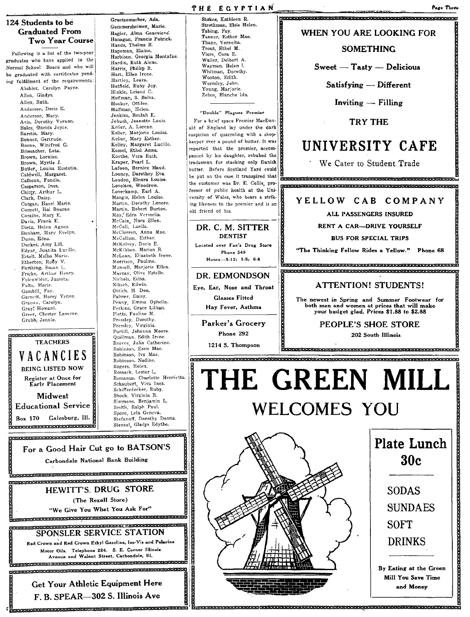

Following is a list of the two-year graduates who have applied to the Normal School Board and who will be graduated with certificates pending fulfillment of the requirements: Abshier, Carolyn Payne. Allen, Gladys. Allen, Ruth. Anderson, Doris E. Anderson, Mary. Avis, Dorothy Vernon. Bales, Qneida Joyce. Barstis, Mary. Bonner, Gertrude. Boone, Winifred G. Briesacher, Leta. Brown, Loraine. Brown, Myrtle J. Butler, Louisa Eustotia. Caldwell, Margaret. Calhoun, Fondle. Casperson, Inez. Chitty, Arthur L. Clark. Daisy. Corgan, Hazel Marie. Cornett, Hal Bourne. Corzine, Mary E. Davis, Frank E. Dietz, Helen Agnes Biota, Mary Evelyn. Dunn, Edna. Durkes, Amy Lill. Edgar, Juanita Lucille.<br>Ertelt, Melba Marie. Etherton, Ruby V. Farthing. Susan L. Fricke, Arthur Henry. Fulenwider, Juanita. Fults, Marie. Gambill, Fay.<br>Garnett, Harry Venoy. Granau, Carolyn. Gray, Howard. Greer, Chester Laverne. Grubb, Jennie.



Gruetzemacher, Ada. Gummersheimer, Marie. Hagler, Alma Genevieve. Hanagan, Francis Patrick. Hands, Thelma R. Hapeman, Elaine. Harbison) Georgia Montafae. Hardin, Ruth Alene. Harris, Phillip B. Hart, Ellen Irene. Hartley, Leara.<br>Hatfield, Ruby Joy. Hinkle, Leland C. Hoffman. S. Belva. Hooker, Ottilee. Huffman, Helen.<br>Jenkins, Beulah E. Jobush, Jeanette Louis. Keller, A. Lorene. Keller, Marjorie Louisa. Keller, Mary Esther. Kelley, Margaret Lucille. Kessel, Ethel Anna. Koethe, Vera Ruth. Kraper, Pearl L. Lafoon, Bernice Maud. Looney) Darethey Eva. Loudon, Elnora Louise. Lovelace, Woodrow. Loverkamp, Earl A. Mangis, Helen Louise. Martin, Dorothy Lenore. Martin, Robert Burton. May, Edra Vermelia. McCain. Nora Ellen. McCall, Luella. MrClerren, Anna Mae. McCollum, Esther. McKelvey, Doris E. McKibben, Marian R. McLean, Elizabeth Irene. Morrison, Pauline. Munsell, Marjorie Ellen. Murray, Olive Estelle. Nichols, Edna. Niksch, Edwin. Otrich, H. Don. Palmer, Daisy. Penny. Emma Ophelia. Perkins, Grace Lillian.<br>Plotts, Pauline M. Pressley, Dorothy.<br>Pressley, Virginia. Purtill, Johanna Moore. Quillman, Edith Irene. Reeves, Julia Catherine. Robinson, Essie Mae. Robinson, Iva Mae. Robinson, Nadine. Rogers, Helen. Romack, Lester L. Romanus, Charlotte Henrietta. Schaubert, Viva Inez. Schiiferdecker, Ruby. Shook, Virginia R. Simmons, Benjamin L.

#### **THE EGYPTIAN** Stakes, Kathleen R. <u> FERRITARIA ARABIA ARABIA ARABIA ARABIA ARABIA ARABIA ARABIA ARA</u>

Strothman, Elsie Helen. Tabing, Fay. Tanner, Esther Mae. Thane, Verneita. Trout, Ethel M. Viers, Cora E. Waller, Delbert A. Wayman, Helen 1. Whitman, Dorothy. Wooton, Edith. Wormley, John. Young, Marjorie. Zebos, Blanche Ida.

### "Double" Plagues Premier

For a brief space Premier MacDonsuspicion of quarreling with a shop-<br>Reeper over a pound of butter. It was ald of England lay under the dark keeper dyer a pound of butter. It was reported that the premier, accompanied by his daughter, rebuked the tradesman for stocking only Danish butter. Before Scotland Yard could<br>be put on the case it transpired that the customer was Dr. E. Collis, professor of public health at the University of Wales, who bears a striking likeness to the premier and is an old friend of his. <sub>old friend of his.</sub><br>DR. C. M. SITTER

# DENTIST

Located over Fox's Drug Store Phone 349 Hours-8-12; 1-5; 6-8

DR. EDMONDSON Eye, Ear, Nose and Throat Glasses Fitted Hay Fever, Asthma

Parker's Grocery Phone 292

1214 S. Thompson

**CERESTER** 

WHEN YOU ARE LOOKING FOR

Page Thre

### **SOMETHING**

 $S<sub>weet</sub> = T<sub>astro</sub> = D<sub>elicious</sub>$ 

Satisfying - Different

 $Inviting - Filling$ 

TRY THE

# UNIVERSITY CAFE

We Cater to Student Trade

pro- ~=::::::H:H:H::H:::k~H:AA:::::.:6:6:::6h:::::e: .\_ pe -HA9BeRg &99 htititk@t\* :e:;'

YELLOW CAB COMPANY

ALL PASSENGERS INSURED

RENT A CAR-DRIVE YOURSELF

BUS FOR SPECIAL TRIPS

"The Thinking Fellow Rides a Yellow." Phone 68 с.<br>Сересоврементов при становление на при становите и становите на сересовето на

399F AA 98999P8PP RAF

### ATTENTION! STUDENTS!

The newest in Spring and Summer Footwear for both men and women at prices that will make your budget glad. Prices \$1.88 to \$2.88

PEOPLE'S SHOE STORE

I· RU:a:a:pHdH9H9h bhri HAgHHRHHHPK'

### 202 South Illinois

# $\alpha$ 99 eeus daaraa baraa baraa baraa baraa baraa baraa baraa baraa baraa baraa baraa baraa baraa baraa baraa ba THE GREEN MILL WELCOMES YOU



I



SUNDAES SOFT DRINKS

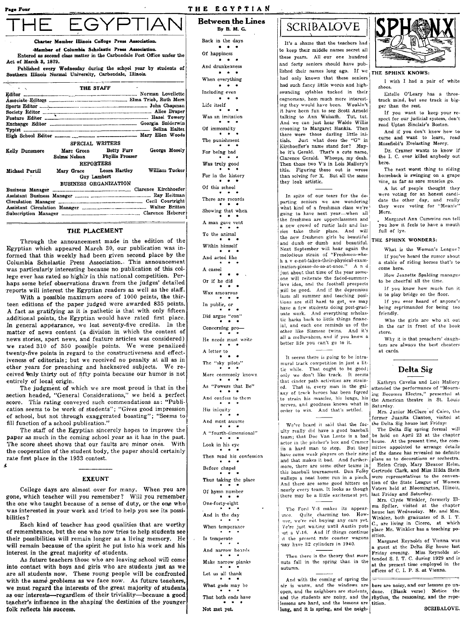Page Four

THE EGYPTIAN

**Between the Lines** 

ЭYЕ

ter Member Illinois College Press Associatio

-Member of Columbia Scholastic Press Association. Entered as second class matter in the Carbondale Post Office under the Act of March 3. 1879.

Published every Wednesday during the school year by students of Southern Illinois Normal University, Carbondale, Illinois.

|                 | THE STAFF |                                                       |                |
|-----------------|-----------|-------------------------------------------------------|----------------|
|                 |           |                                                       |                |
|                 |           |                                                       |                |
|                 |           |                                                       |                |
|                 |           |                                                       |                |
|                 |           |                                                       |                |
|                 |           |                                                       |                |
|                 |           |                                                       |                |
|                 |           |                                                       |                |
|                 |           | SPECIAL WRITERS                                       |                |
| Kelly Dunsmore  |           | Marc Green Betty Furr<br>Selma Nelson Phyllis Prosser | George Mosely  |
|                 |           | <b>REPORTERS</b>                                      |                |
| Michael Purtill |           | Mary Grace Leora Hartley<br>Guy Lambert               | William Tucker |
|                 |           | BUSINESS ORGANIZATION                                 |                |
|                 |           |                                                       |                |
|                 |           |                                                       |                |
|                 |           |                                                       |                |
|                 |           |                                                       |                |
|                 |           |                                                       |                |

### THE PLACEMENT

Through the announcement made in the edition of the Egyptian which appeared March 30, our publication was informed that this weekly had been given second place by the Columbia Scholastic Press Association. This announcement was particularly interesting because no publication of this college ever has rated so highly in this national competition. Perhaps some brief observations drawn from the judges' detailed reports will interest the Egyptian readers as well as the staff.

With a possible maximum score of 1000 points, the thirteen editions of the paper judged were awarded 835 points. A fact as gratifying as it is pathetic is that with only fifteen additional points, the Egyptian would have rated first place. In general appearance, we lost seventy-five credits. In the matter of news content (a division in which the content of news stories, sport news, and feature articles was considered) we rated 310 of 350 possible points. We were penalized twenty-five points in regard to the constructiveness and effectiveness of editorials; but we received no penalty at all as in other years for preaching and hackneved subjects. We received Unly thirty out of fifty points because our humor is not entirely of local origin.

The judgment of which we are most proud is that in the section headed, "General Considerations," we held a perfect score. This rating conveyed such commendations as: "Publication seems to be work of students"; "Gives good impression of school, but not through exaggerated boasting"; "Seems to fill function of a school publication."

The staff of the Egyptian sincerely hopes to improve the paper as much in the coming school year as it has in the past. The score sheet shows that our faults are minor ones. With the cooperation of the student body, the paper should certainly rate first place in the 1933 contest. Ă

### **EXEUNT**

College days are almost over for many. When you are gone, which teacher will you remember? Will you remember the one who taught because of a sense of duty, or the one who was interested in your work and tried to help you see its possibilities?

Each kind of teacher has good qualities that are worthy of remembrance, but the one who now tries to help students see their possibilities will remain longer as a living memory. He will remain because of the spirit he put into his work and his interest in the great majority of students.

As future teachers those who are leaving school will come into contact with boys and girls who are students just as we are all students now. These young people will be confronted with the same problems as we face now. As future teachers, we must regard the interests of the great majority of students as our interests-regardless of their triviality-because a good teacher's influence in the shaping the destinies of the younger folk reflects his success.

By B. M. G. Back in the days  $\bullet\quad\bullet\quad\bullet$ Of happiness  $\cdots$ And drunkenness  $\bullet$   $\bullet$   $\bullet$ When everything  $\begin{array}{ccccccccccccc} \bullet & \bullet & \bullet & \bullet & \bullet \end{array}$ Including even  $\bullet$   $\bullet$ Life itself Was an imitation Of immorality  $\bullet$ The punishment For being bad Was truly good For in the history Of this school There are records Showing that when A man gave vent To the animal Within himself And acted like A camel Or if he did Wax amourous In public, or  $\cdot$ Did argue "con" Concerning pro-He needs must write A letter to  $\begin{array}{c} \bullet \end{array}$ The "sky pilots" More commonly known As "Powers that Be" And confess to them His iniquity And must assume A "fourth-dimensional" Look in his eye Then read his confession Before chapel Thus taking the place Of hymn number One-forty-eight And in the day When temperance Is temperate And narrow boards Make narrow planks Let us all thank What gods may be

That both ends have

Not met yet.

# **SCRIBALOVE**

It's a shame that the teachers had to keep their middle names secret all these years. All our one hundred and forty seniors should have published their names long ago. If we had only known that these seniors had such fancy little words and highsounding sylables tucked in their cognomens, hom much more interesting they would have been. Wouldn't it have been fun to see Scott Arnold talking to Ann Waisath. Tut, tut. And we can just hear Waldo Willis crooning to Margaret Hankla. Then there were those darling little ini-<br>tials. Just what does the "G" in Kirchoeffer's name stand for? Maybe it's Gerald. That's a cute name, Clarence Gerald. Whoops, my deah.<br>Then those two V's in Lois Mallory's title. Figuring those out is wrose than solving for X. But all the same they look artistic.

In spite of our tears for the departing seniors we are wondering what kind of a freshman class we're going to have next year-when all the freshmen are upperclassmen and a new crowd of rustic lads and lassies take their place. And will the new freshmen girls be beautiful and dumb or dumb and beautiful. Next September will hear again the melodious strain of "Freshmen-whoh a v e-not-taken-their-physical-examination-please-do-so-at-once." A n d just about that time of the year someone will reiterate the faded-summerlove idea, and the football prospects will be good. And if the depression lasts all summer and teaching positions are still hard to get, we may have a few students doing post-graduate work. And everything scholastic harks back to little things financial, and each one reminds us of the other like Siamese twins. And it's all a melluvahess, and if you know a better life you can't go to it.

It seems there is going to be intramural track competition in just a little while. That ought to be good; only we don't like track. It seems that cinder path activities are strained. That is, every man in the galaxy of track heroes has been forced to strain his muscles, his lungs, his nerves, and goodness knows what in order to win. And that's settled.

We've heard it said that the faculty really did have a good baseball team: that Doc Van Lente is a bad actor in the pitcher's box and Cramer house. At the present time, the comiis a hard man to stop. But they more, there are some other teams in this baseball tournament. Dan Foley wallops a neat home run in a pinch. And there are some good hitters on nearly every team. It looks as though there may be a little excitement yet.

The Ford V-8 makes its appearance. Quite charming too. How-<br>ver, we're not buying any cars yet. Ve're just waiting until Austin puts out a V-16. And if things continue it the present rate coaster wagons may have 32 cylinders in 1940.

Then there is the theory that more nuts fall in the spring than in the autumn.

And with the coming of spring the air is warm, and the windows are open, and the neighbors are students, and the students are noisy, and the lessons are hard, and the lessons are long, and it is spring, and the neigh-



#### THE SPHINX KNOWS:

I wish I had a pair of white shoes.

Estelle O'Leary has a threetrack mind, but one track is bigger than the rest.

If you want to keep your respect for our judicial system, don't read Upton Sinclair's Boston.

And if you don't know how to curse and want to learn, read Masefield's Evelasting Mercy.

Dr. Cramer wants to know if the I. C. ever killed anybody out here.

The next worst thing to riding horseback is swinging on a grape vine, as far as sore muscles go.

A lot of people thought they were voting for an honest candidate the other day, and really they were voting for "Meanie" Merz.

Margaret Ann Cummins can tell you how it feels to have a mouth full of lye.

### THE SPHINX WONDERS:

What is the Woman's League? If you've heard the rumor about a stable of riding horses that's to come here.

How Jeanette Spalding manages to be cheerful all the time.

If you know how much fun it is to play bridge on the floor.

If you ever heard of anyone's being reprimanded for being too friendly.

Who the girls are who sit out in the car in front of the book store.

Why it is that preachers' daughters are always the best cheaters at cards.

### Delta Sig

Kathryn Cavelia and Lois Mallory attended the performance of "Mourn-<br>ing Becomes Electra," presented at the American theatre in St. Louis Saturday.

Mrs. Junior McClure of Cairo, the former Juanita Clanton, visited at the Delta Sig house last Friday.

The Delta Sig spring formal will be held on April 23 at the chapter mittee appointed to arrange details have some weak players on their nine of the dance has revealed no definite and that makes it bad. And further- plans as to decorations or orchestra. Helen Crisp, Mary Eleanor Helm, Gertrude Clark, and Miss Hilda Stein were representatives to the convention of the State League of Women Voters held at Bloomington, Illinois, last Friday and Saturday.

Mrs. Clyde Winkler, formerly Elma Spiller, visited at the chapter house last Wednesday. Mr. and Mrs. Winkler, both graduates of S. I. T. C., are living in Cicero, at which place Mr. Winkler has a teaching position.

Margaret Reynolds of Vienna was guest at the Delta Sig house last Friday evening. Miss Reynolds attended S. I. T. C. during 1929 and is at the present time employed in the offices of C. I. P. S. at Vienna.

bors are noisy, and our lessons go undone. (Blank verse) Notice the rhythm, the reasoning, and the repetition.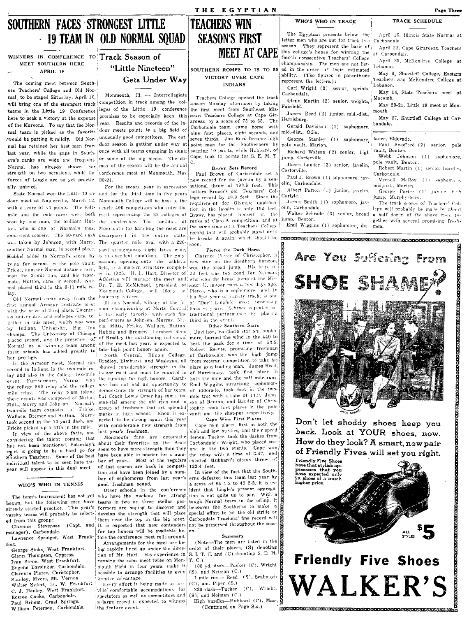# SOUTHERN FACES STRONGEST LITTLE **19 TEAM IN OLD NORMAL SOUAD**

### MEET SOUTHERN HERE APRIL 16

The coming meet between Southern Teachers' College and Old Normal, to be staged Saturday, April 16, will bring one of the strongest track here to seek a victory at the expense of the Maroons. To say that the Nor-/would be putting it mildly. Old Nor- unusually good competitors. The outlast year, while the gaps in South-| once with all teams engaging in duals forces of Lingle are as yet practic- 20-21. ally untried.

door meet at Napierville, March 12, Monmouth College will be host to the with a score of 44 points. The half- nearly 400 competitors who enter the tion in the javelin is only 190 feet mile and the mile races were both meet representing the 22 colleges of Brown has placed himself in the won by one man, the brilliant Hu:- the conference. The facilities at ranks of Class-A competition, and at Jump. Benton. ton, who is one of Normal's most Monmouth for handling the meet are the same time set a Teachers' College consistent scorers. The 60-yard cash unsurpassed in the entire state. record that will proposely state and consistent scorers. The 60-yard cash unsurpassed in the entire state. The breaks it again, which should be was taken by Johnson, with Murry, The quarter mile oval with a 220another Normal man, in second place. yard straightaway eight lanes wide, Hubbel added to Normal's score by is in excellent condition. The gmytying for second in the pole vault nasium, opening onto the athletic Fricke, another Normal distance man, field, is a modern structure complet- won the broad jump. His leap of won the 2-mile run, and his team- ed in 1925. H. L. Hart, Director of 22 feet was too good for Neiman. mate, Hutton, came in second. Not- Athletics will manage the meet and, who won the broad jump at the Mislay

Old Normal came away from the honovary referee. first annual Armour Institute meet with the prize of third place. Twenty- door championship at North Central finds in years. Schrade repeated his gether in this meet, which was won performers as Johnson, Murray, Nic- third in the event, by Indiana University, Big Ten ols. Mitts, Fricke, Wallace, Hutton, Other Sout champs. The University of Chicago Hubble and Bremer. Lambert Redd these schools has added greatly to take high point honors again. her prestige.

In the Armour meet, Normal ran second to Indiana in the two-mile relay and also in the college two-mile event. Furthermore, Normal won the college 880 relay and the college mile relay. The relay team taking these events was composed of Nichol, Mitts, Murry and Johnson. Normal's two-mile team consisted of Fricke. Wallace, Bremer and Hutton. Murry took second in the 70-yard dash, and pected to be strong again this year Fricke picked up a fifth in the mile.

In view of the above facts, and considering the talent coming that has not been mentioned, Saturday's eet is going to be a hard go for meet is going to be a hard go for. individual talent to be seen here this ber of years. Most of the regulars year will appear in this dual meet.

#### WHO'S WHO IN TENNIS

begun, but the following men have teams in two or three stellar peralready started practice. varsity teams will probably be selected from this group:

(Capt. and Clarence Stevenson manager), Carbondale. Lawrence Springer, West Frank-

fort. George Sinks, West Frankfort. Glenn Thompson, Cypress. Ivan Stone, West Frankfort. Eugene Baysinger, Carbondale. Clarence Pierce, Christopher. Stanley, Myers, Mt. Vernon. Walter Syfert, Jr., W. Frankfort. Roscoe Cooke, Carbondale. Paul Brimm, Creal Springs. William Peterson, Carbondale.



### Gets Under Way

Monmouth, Ill. - Intercollegiate competition in track among the colteams in the Little 19 Conference leges of the Little 19 conference promises to be especially keen this year. Results and records of the inmal team is picked as the favorite door meets points to a big field of mal has retained her best men from door season is getting under way at ern's ranks are wide and frequent. or some of the big meets. The cli-Normal has already shown her  $\frac{1}{2}$  max of the season will be the annual strength on two occasions, while the conference meet at Monmouth, May

For the second year in succession State Normal won the Little 19 in- and for the third time in five years mal placed third in the 8-11 mile rc- Dr. T. H. McMichael, president of souri U. indoor meet a few days ago. Monmouth College, will likely be Pierce, who is a sophomore, and in

is the early favorite with such fine traditional performance by placing

the running for high honors. Carthmaterial among the old men and a marks in high school. Knox is exwith considerable new strength from last year's freshmen.

Monmouth fans are optomistic about their favorites as the Scots seem to have more strength than they of last season are back in competi- 123.4 feet. tion and have been joined by a numgood freshman squad.

Other schools in the conference This year's formers are hoping to discover and develop the strength that will place for top honors will be available before the conference meet rolls around

Arrangements for the meet are being rapidly lined up under the direction of Mr. Hart. His experience in running the same meet twice on Mon- T. C.) mouth Field in four years, make it possible to arrange facilities to even (S), and Neiman (C.) greater advantage.

Every effort is being made to pro- (C), and Piper (S,) vide comfortable accomodations for spectators as well as competitors and  $(S)$ , and Neiman (C.) a large crowd is expected to witness | High hurdles-Hubbard (C), Masthe feature event.

# **TEACHERS WIN SEASON'S FIRST MEET AT CAPE**

#### SOUTHERN ROMPS TO 75 TO 55 VICTORY OVER CAPE **INDIANS**

Teachers College opened the track season Monday afternoon by taking the first meet from Southeast Missouri Teachers College at Cape Girardeau by a score of 75 to 55. The Carbondale team came home with nine first places, eight seconds, and seven thirds. Jim Reed became high point man for the Southerners by bagging 10 points, while Hubbard, of Cape, took 13 points for S. E. M. T.

#### **Brown Sets Record**

Paul Brown of Carbondale set a new record for the javelin by a sensational throw of 193.8 feet. This betters Brown's old Teachers' College record by 18.3 feet. Since the requirement for Olympic qualificarecord that will probably stand until soon.

Pierce the Dark Horse

Clarence Pierce of Christopher, a new star on the Southern horizon. his first year of varsity track, is one Illinois Normal, winner of the in of "Doc" Lingle's most promising

#### Other Southern Stars

Davidson, Southern star and sophoplaced second, and the presence of of Bradley the outstanding individual more, burned the wind in the 440 to Normal as a winning team among of the meet last year, is expected to be the pack for a time of 53.5. Robert Reeves, promising freshman North Central, Illinois College, of Carbondale, won the high jump Bradley, Elmhurst, and Wesleyan, all from veteran competition to take his showed considerable strength in the place as a leading man. James Reed, indoor meet and must be counted in of Harrisburg, took first place in both the mile and the half mile runs. age has not had an opportunity to Emil Wiggins, surprising sophomore demonstrate the strength of her team, of Eldorado, took first in the twobut Coach Lewis Omer has some fine mile trot with a time of 11.9. Johnson of Benton, and Bauder of Chrisgroup of freshmen that set splendid topher, took first places in the pole vault and the shot-put respectively.

Cape Wins First Places

Cape men placed first in both the ligh and low hurdles, and their speed demon, Tucker, took the dashes from Carbondale's Wright, who placed second in the two events. Cape won the relay with a time of 3.47, and cheered Hubbard's discus throw of

In view of the fact that the Southber of sophomores from last year's erns defeated this team last year by a score of 85 1-3 to 45 2-3, it is evident that Lingle's present aggrega-The tennis tournament has not yet who have the nucleus for strong tion is not quite up to par. With a tough Normal team in the offing, it behooves the Southerns to make a special effort to hit the old stride or them near the top in the big meet. Carbondale Teachers' fine record will It is expected that new contenders not be preserved throughout the season.

#### Summary

(Note-The men are listed in the order of their places, (S) denoting S. I. T. C. and (C) denoting S. E. M.

100 yd. dash-Tucker (C), Wright 1 mile run- Reed (S), Seabaugh

220 dash-Tucker (C), Wricht.

(Continued on Page Six.)

| The Egyptian presents below the                                                                                | April 16, Illinois State Normal at                                                                             |
|----------------------------------------------------------------------------------------------------------------|----------------------------------------------------------------------------------------------------------------|
| etter men who are out for track this                                                                           | Ca bondale.                                                                                                    |
| eason. They represent the basis of                                                                             | April 22, Cape Girardeau Teachers                                                                              |
| his college's hopes for winning the                                                                            | at Carbondale.                                                                                                 |
| ourth consecutive Teachers' College<br>hampionship. The men are not list-<br>d in the order of their estimated | April 29, McKendree College at<br>Lebanon.                                                                     |
| bility. (The figures in parenthesis<br>epresent the letters.):                                                 | May 6. Shurtleff College, Eastern<br>Teachers, and McKendree College at<br>Lebanon.                            |
| Carl Wright (3) senior, sprints,                                                                               | May 14, State Teachers meet at                                                                                 |
| Jarbondale.                                                                                                    | Macomb.                                                                                                        |
| Glenn Martin (2) senior, weights,                                                                              | May 20-21, Little 19 meet at Mon-                                                                              |
| airfield.                                                                                                      | mouth.                                                                                                         |
| James Reed (2) junior, mid.-dist.,<br>Iarrisburg.                                                              | May 27, Shurtleff College at Car-                                                                              |
| Gerald Davidson (1) sophomore,                                                                                 | bondale.                                                                                                       |
| aid.-dist., Odin.                                                                                              | <b>Service Common</b>                                                                                          |
| George Stanley (1) sophomore,                                                                                  | tance, Eldorado,                                                                                               |
| ole vault, Marion.                                                                                             | Paul Swofford (2) senior, pole                                                                                 |
|                                                                                                                |                                                                                                                |
| Richard Watson (2) senior, high<br>ump, Carterville.                                                           | vault, Benton.<br>Webb<br>Johnson (1) sophomore,                                                               |
| James Lauder (3) senior, javelin,                                                                              | pole vault, Benton.                                                                                            |
| arterville.                                                                                                    | Robert Martin (1) senior, hurdles,                                                                             |
| Paul J. Brown (1) sophomore, jav-                                                                              | Carbondale.                                                                                                    |
| lin, Carbondale.                                                                                               | Nernell McRoy (1) sophomoto,                                                                                   |
| arlyle.                                                                                                        | mid, dist., Marion.<br>Albert Patton (1) junior, javelin, George Porter (1) junior, help<br>jump, Murphysboro. |
| lin, Carbondale.<br>$\cdots$                                                                                   | James Smith (1) sophomore, jav- The track scores of Teachers' Col-<br>lege will probably be made by about      |

WHO'S WHO IN TRACK

m alter Schrade (3) senior, broad a half dozen of the above men, together with several promising fresh-Emil Wiggins (1) sophomore, dis- men.



Don't let shoddy shoes keep you back. Look at YOUR shoes, now. How do they look? A smart, new pair of Friendly Fives will set you right.





.<br>MERRICKER REFERENTINGSTER IN DER FRIEDEN FRIEDEN FRIEDEN FRIEDEN FRIEDEN FRIEDEN FRIEDEN.

**TRACK SCHEDULE**